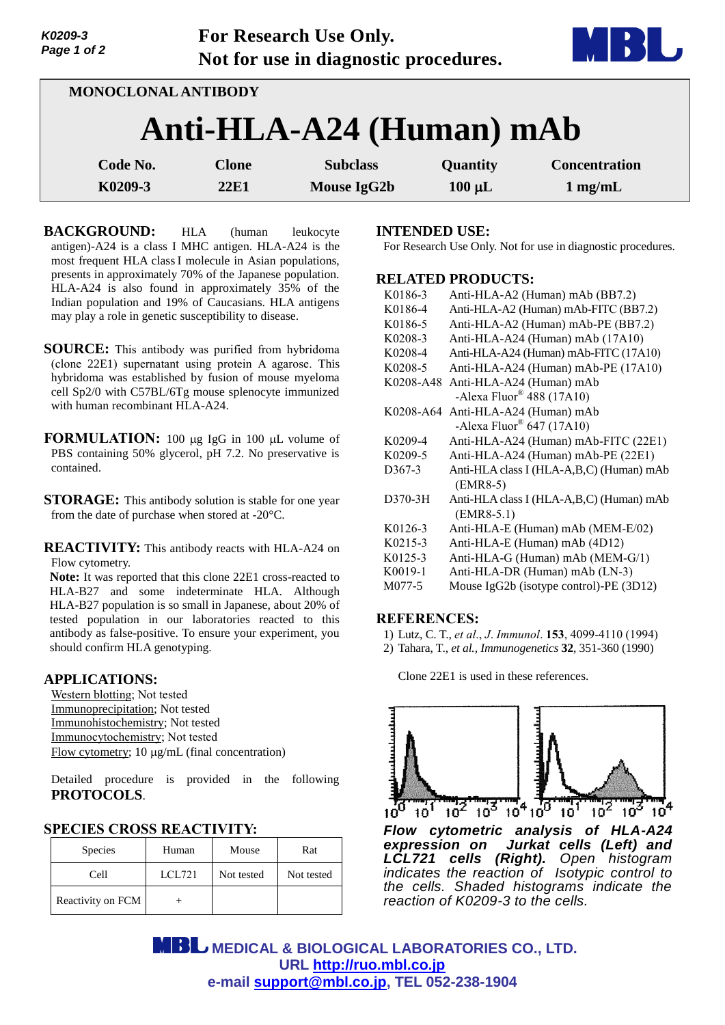| K0209-3<br>Page 1 of 2 |                            | For Research Use Only.<br>Not for use in diagnostic procedures. |             |                      |
|------------------------|----------------------------|-----------------------------------------------------------------|-------------|----------------------|
|                        | <b>MONOCLONAL ANTIBODY</b> |                                                                 |             |                      |
|                        |                            | Anti-HLA-A24 (Human) mAb                                        |             |                      |
| Code No.               | <b>Clone</b>               | <b>Subclass</b>                                                 | Quantity    | <b>Concentration</b> |
| K0209-3                | 22F1                       | <b>Mouse IgG2b</b>                                              | $100 \mu L$ | $1$ mg/mL            |

**BACKGROUND:** HLA (human leukocyte antigen)-A24 is a class I MHC antigen. HLA-A24 is the most frequent HLA classI molecule in Asian populations, presents in approximately 70% of the Japanese population. HLA-A24 is also found in approximately 35% of the Indian population and 19% of Caucasians. HLA antigens may play a role in genetic susceptibility to disease.

- **SOURCE:** This antibody was purified from hybridoma (clone 22E1) supernatant using protein A agarose. This hybridoma was established by fusion of mouse myeloma cell Sp2/0 with C57BL/6Tg mouse splenocyte immunized with human recombinant HLA-A24.
- **FORMULATION:** 100 µg IgG in 100 µL volume of PBS containing 50% glycerol, pH 7.2. No preservative is contained.
- **STORAGE:** This antibody solution is stable for one year from the date of purchase when stored at -20°C.

**REACTIVITY:** This antibody reacts with HLA-A24 on Flow cytometry.

**Note:** It was reported that this clone 22E1 cross-reacted to HLA-B27 and some indeterminate HLA. Although HLA-B27 population is so small in Japanese, about 20% of tested population in our laboratories reacted to this antibody as false-positive. To ensure your experiment, you should confirm HLA genotyping.

## **APPLICATIONS:**

Western blotting; Not tested Immunoprecipitation; Not tested Immunohistochemistry; Not tested Immunocytochemistry; Not tested Flow cytometry; 10 μg/mL (final concentration)

Detailed procedure is provided in the following **PROTOCOLS**.

## **SPECIES CROSS REACTIVITY:**

| <b>Species</b>    | Human  | Mouse      | Rat        |
|-------------------|--------|------------|------------|
| Cell              | LCL721 | Not tested | Not tested |
| Reactivity on FCM |        |            |            |

#### **INTENDED USE:**

For Research Use Only. Not for use in diagnostic procedures.

## **RELATED PRODUCTS:**

| K0186-3             | Anti-HLA-A2 (Human) mAb (BB7.2)          |
|---------------------|------------------------------------------|
| K0186-4             | Anti-HLA-A2 (Human) mAb-FITC (BB7.2)     |
| K0186-5             | Anti-HLA-A2 (Human) mAb-PE (BB7.2)       |
| K0208-3             | Anti-HLA-A24 (Human) mAb (17A10)         |
| K0208-4             | Anti-HLA-A24 (Human) mAb-FITC (17A10)    |
| K0208-5             | Anti-HLA-A24 (Human) mAb-PE (17A10)      |
| K0208-A48           | Anti-HLA-A24 (Human) mAb                 |
|                     | -Alexa Fluor <sup>®</sup> 488 (17A10)    |
| K0208-A64           | Anti-HLA-A24 (Human) mAb                 |
|                     | -Alexa Fluor® 647 (17A10)                |
| K0209-4             | Anti-HLA-A24 (Human) mAb-FITC (22E1)     |
| K0209-5             | Anti-HLA-A24 (Human) mAb-PE (22E1)       |
| D <sub>367</sub> -3 | Anti-HLA class I (HLA-A,B,C) (Human) mAb |
|                     | $(EMR8-5)$                               |
| D370-3H             | Anti-HLA class I (HLA-A,B,C) (Human) mAb |
|                     | $(EMR8-5.1)$                             |
| K0126-3             | Anti-HLA-E (Human) mAb (MEM-E/02)        |
| K0215-3             | Anti-HLA-E (Human) mAb (4D12)            |
| K0125-3             | Anti-HLA-G (Human) mAb (MEM-G/1)         |
| K0019-1             | Anti-HLA-DR (Human) mAb (LN-3)           |
| M077-5              | Mouse IgG2b (isotype control)-PE (3D12)  |

#### **REFERENCES:**

- 1) Lutz, C. T., *et al*., *J*. *Immunol*. **153**, 4099-4110 (1994)
- 2) Tahara, T., *et al., Immunogenetics* **32**, 351-360 (1990)

Clone 22E1 is used in these references.



*Flow cytometric analysis of HLA-A24*  Jurkat cells (Left) and *LCL721 cells (Right). Open histogram indicates the reaction of Isotypic control to the cells. Shaded histograms indicate the reaction of K0209-3 to the cells.*

 **MEDICAL & BIOLOGICAL LABORATORIES CO., LTD. URL [http://ruo.mbl.co.jp](http://ruo.mbl.co.jp/) e-mail [support@mbl.co.jp,](mailto:support@mbl.co.jp) TEL 052-238-1904**